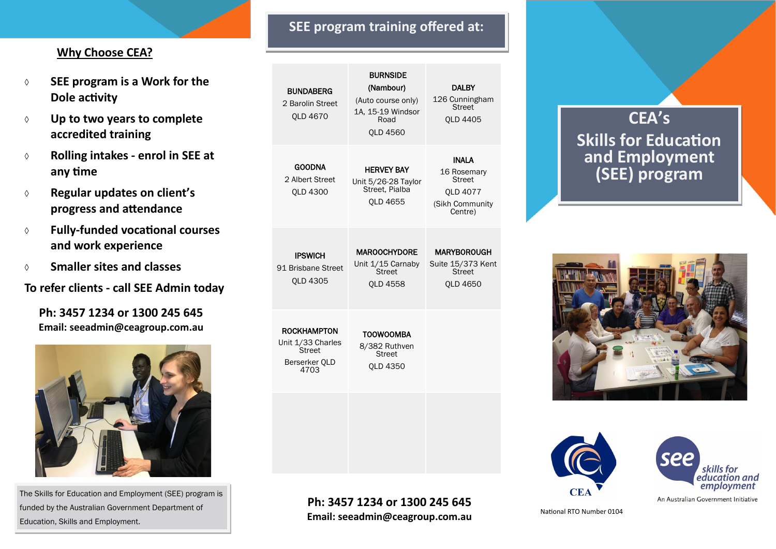### **Why Choose CEA?**

- **SEE program is a Work for the Dole activity**
- **Up to two years to complete accredited training**
- **Rolling intakes - enrol in SEE at any time**
- **Regular updates on client's progress and attendance**
- **Fully-funded vocational courses and work experience**
- **Smaller sites and classes**

**To refer clients - call SEE Admin today**

**Ph: 3457 1234 or 1300 245 645 Email: seeadmin@ceagroup.com.au**



The Skills for Education and Employment (SEE) program is funded by the Australian Government Department of Education, Skills and Employment.

## **SEE program training offered at:**

| <b>BUNDABERG</b><br>2 Barolin Street<br><b>OLD 4670</b>                           | <b>BURNSIDE</b><br>(Nambour)<br>(Auto course only)<br>1A. 15-19 Windsor<br>Road<br><b>OLD 4560</b> | DALBY<br>126 Cunningham<br><b>Street</b><br><b>OLD 4405</b>                            |
|-----------------------------------------------------------------------------------|----------------------------------------------------------------------------------------------------|----------------------------------------------------------------------------------------|
| <b>GOODNA</b><br>2 Albert Street<br>OLD 4300                                      | <b>HERVEY BAY</b><br>Unit 5/26-28 Taylor<br>Street. Pialba<br>OLD 4655                             | <b>INALA</b><br>16 Rosemary<br><b>Street</b><br>OLD 4077<br>(Sikh Community<br>Centre) |
| <b>IPSWICH</b><br>91 Brisbane Street<br><b>OLD 4305</b>                           | <b>MAROOCHYDORE</b><br>Unit 1/15 Carnaby<br>Street<br><b>OLD 4558</b>                              | <b>MARYBOROUGH</b><br>Suite 15/373 Kent<br><b>Street</b><br><b>OLD 4650</b>            |
| <b>ROCKHAMPTON</b><br>Unit 1/33 Charles<br><b>Street</b><br>Berserker OLD<br>4703 | <b>TOOWOOMBA</b><br>8/382 Ruthven<br><b>Street</b><br>OLD 4350                                     |                                                                                        |
|                                                                                   |                                                                                                    |                                                                                        |

#### **Ph: 3457 1234 or 1300 245 645 Email: seeadmin@ceagroup.com.au**

## **CEA's Skills for Education and Employment (SEE) program**







An Australian Government Initiative

National RTO Number 0104